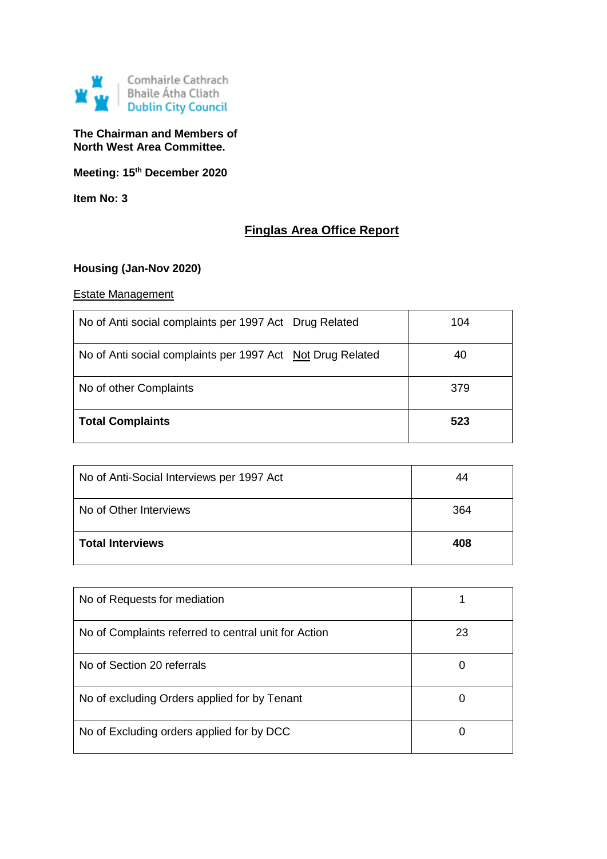

# **The Chairman and Members of North West Area Committee.**

**Meeting: 15th December 2020**

**Item No: 3**

# **Finglas Area Office Report**

# **Housing (Jan-Nov 2020)**

# Estate Management

| No of Anti social complaints per 1997 Act Drug Related     | 104 |
|------------------------------------------------------------|-----|
| No of Anti social complaints per 1997 Act Not Drug Related | 40  |
| No of other Complaints                                     | 379 |
| <b>Total Complaints</b>                                    | 523 |

| No of Anti-Social Interviews per 1997 Act | 44  |
|-------------------------------------------|-----|
| No of Other Interviews                    | 364 |
| Total Interviews                          | 408 |

| No of Requests for mediation                         |    |
|------------------------------------------------------|----|
| No of Complaints referred to central unit for Action | 23 |
| No of Section 20 referrals                           | 0  |
| No of excluding Orders applied for by Tenant         | O  |
| No of Excluding orders applied for by DCC            | Ü  |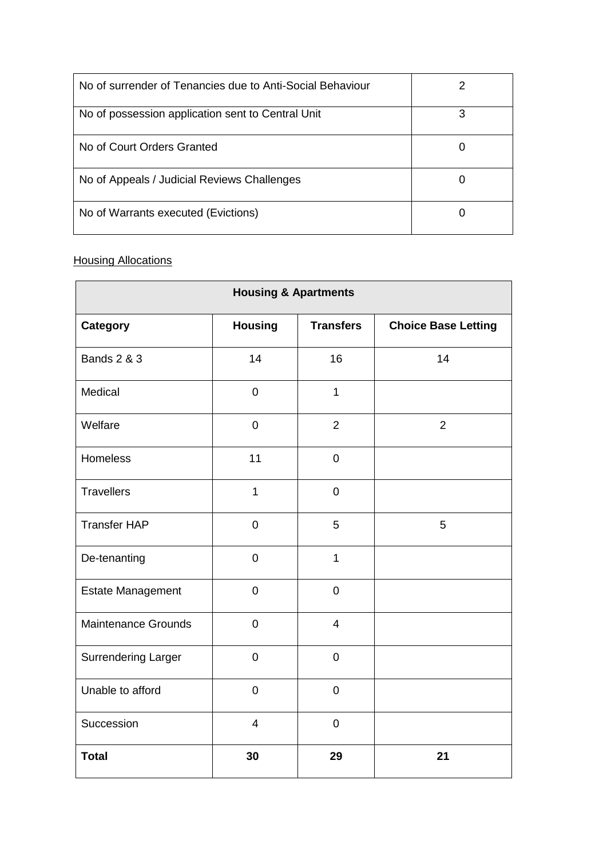| No of surrender of Tenancies due to Anti-Social Behaviour |   |
|-----------------------------------------------------------|---|
| No of possession application sent to Central Unit         | З |
| No of Court Orders Granted                                |   |
| No of Appeals / Judicial Reviews Challenges               |   |
| No of Warrants executed (Evictions)                       |   |

# **Housing Allocations**

| <b>Housing &amp; Apartments</b> |                          |                  |                            |
|---------------------------------|--------------------------|------------------|----------------------------|
| <b>Category</b>                 | <b>Housing</b>           | <b>Transfers</b> | <b>Choice Base Letting</b> |
| <b>Bands 2 &amp; 3</b>          | 14                       | 16               | 14                         |
| Medical                         | $\mathbf 0$              | $\mathbf{1}$     |                            |
| Welfare                         | $\mathbf 0$              | $\overline{2}$   | $\overline{2}$             |
| Homeless                        | 11                       | $\overline{0}$   |                            |
| <b>Travellers</b>               | $\mathbf{1}$             | $\mathbf 0$      |                            |
| <b>Transfer HAP</b>             | $\pmb{0}$                | 5                | 5                          |
| De-tenanting                    | $\pmb{0}$                | $\mathbf{1}$     |                            |
| <b>Estate Management</b>        | $\mathbf 0$              | $\mathbf 0$      |                            |
| <b>Maintenance Grounds</b>      | $\mathbf 0$              | $\overline{4}$   |                            |
| <b>Surrendering Larger</b>      | $\overline{0}$           | $\overline{0}$   |                            |
| Unable to afford                | $\pmb{0}$                | $\boldsymbol{0}$ |                            |
| Succession                      | $\overline{\mathcal{A}}$ | $\boldsymbol{0}$ |                            |
| <b>Total</b>                    | 30                       | 29               | 21                         |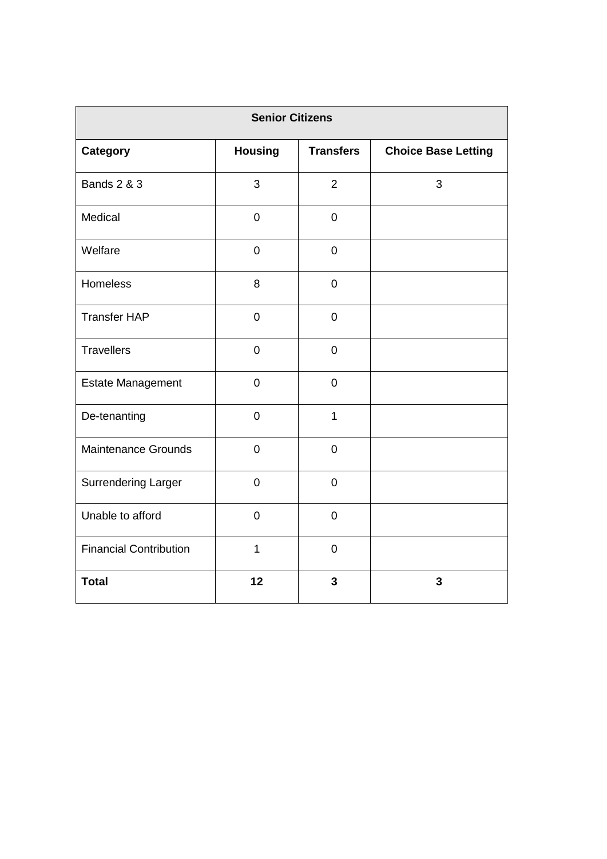| <b>Senior Citizens</b>        |                |                  |                            |
|-------------------------------|----------------|------------------|----------------------------|
| Category                      | <b>Housing</b> | <b>Transfers</b> | <b>Choice Base Letting</b> |
| <b>Bands 2 &amp; 3</b>        | 3              | $\overline{2}$   | 3                          |
| Medical                       | $\mathbf 0$    | $\mathbf 0$      |                            |
| Welfare                       | $\pmb{0}$      | $\pmb{0}$        |                            |
| <b>Homeless</b>               | 8              | $\mathbf 0$      |                            |
| <b>Transfer HAP</b>           | $\mathbf 0$    | $\pmb{0}$        |                            |
| <b>Travellers</b>             | $\overline{0}$ | $\pmb{0}$        |                            |
| <b>Estate Management</b>      | $\mathbf 0$    | $\pmb{0}$        |                            |
| De-tenanting                  | $\mathbf 0$    | $\mathbf{1}$     |                            |
| <b>Maintenance Grounds</b>    | $\mathbf 0$    | $\pmb{0}$        |                            |
| <b>Surrendering Larger</b>    | $\mathbf 0$    | $\mathbf 0$      |                            |
| Unable to afford              | $\mathbf 0$    | $\mathbf 0$      |                            |
| <b>Financial Contribution</b> | $\mathbf{1}$   | $\mathbf 0$      |                            |
| <b>Total</b>                  | 12             | 3                | 3                          |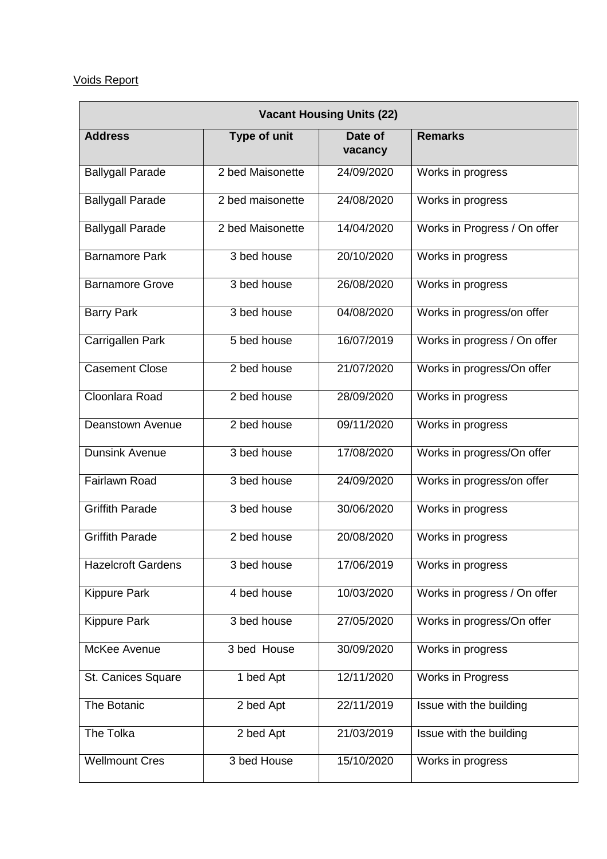# Voids Report

| <b>Vacant Housing Units (22)</b> |                     |                    |                              |
|----------------------------------|---------------------|--------------------|------------------------------|
| <b>Address</b>                   | <b>Type of unit</b> | Date of<br>vacancy | <b>Remarks</b>               |
| <b>Ballygall Parade</b>          | 2 bed Maisonette    | 24/09/2020         | Works in progress            |
| <b>Ballygall Parade</b>          | 2 bed maisonette    | 24/08/2020         | Works in progress            |
| <b>Ballygall Parade</b>          | 2 bed Maisonette    | 14/04/2020         | Works in Progress / On offer |
| <b>Barnamore Park</b>            | 3 bed house         | 20/10/2020         | Works in progress            |
| <b>Barnamore Grove</b>           | 3 bed house         | 26/08/2020         | Works in progress            |
| <b>Barry Park</b>                | 3 bed house         | 04/08/2020         | Works in progress/on offer   |
| Carrigallen Park                 | 5 bed house         | 16/07/2019         | Works in progress / On offer |
| <b>Casement Close</b>            | 2 bed house         | 21/07/2020         | Works in progress/On offer   |
| Cloonlara Road                   | 2 bed house         | 28/09/2020         | Works in progress            |
| Deanstown Avenue                 | 2 bed house         | 09/11/2020         | Works in progress            |
| <b>Dunsink Avenue</b>            | 3 bed house         | 17/08/2020         | Works in progress/On offer   |
| <b>Fairlawn Road</b>             | 3 bed house         | 24/09/2020         | Works in progress/on offer   |
| <b>Griffith Parade</b>           | 3 bed house         | 30/06/2020         | Works in progress            |
| <b>Griffith Parade</b>           | 2 bed house         | 20/08/2020         | Works in progress            |
| <b>Hazelcroft Gardens</b>        | 3 bed house         | 17/06/2019         | Works in progress            |
| <b>Kippure Park</b>              | 4 bed house         | 10/03/2020         | Works in progress / On offer |
| <b>Kippure Park</b>              | 3 bed house         | 27/05/2020         | Works in progress/On offer   |
| McKee Avenue                     | 3 bed House         | 30/09/2020         | Works in progress            |
| St. Canices Square               | 1 bed Apt           | 12/11/2020         | Works in Progress            |
| The Botanic                      | 2 bed Apt           | 22/11/2019         | Issue with the building      |
| The Tolka                        | 2 bed Apt           | 21/03/2019         | Issue with the building      |
| <b>Wellmount Cres</b>            | 3 bed House         | 15/10/2020         | Works in progress            |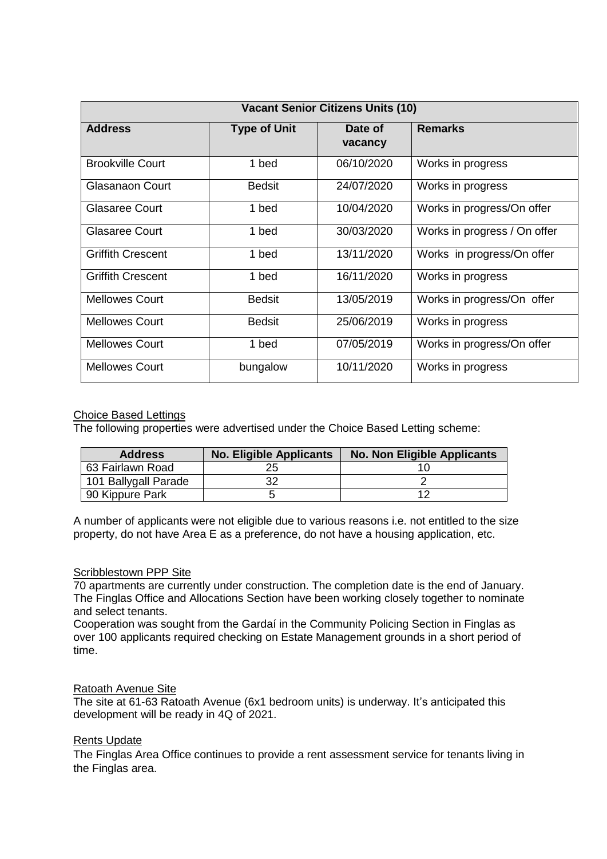| <b>Vacant Senior Citizens Units (10)</b> |                     |                    |                              |
|------------------------------------------|---------------------|--------------------|------------------------------|
| <b>Address</b>                           | <b>Type of Unit</b> | Date of<br>vacancy | <b>Remarks</b>               |
| <b>Brookville Court</b>                  | 1 bed               | 06/10/2020         | Works in progress            |
| Glasanaon Court                          | <b>Bedsit</b>       | 24/07/2020         | Works in progress            |
| <b>Glasaree Court</b>                    | 1 bed               | 10/04/2020         | Works in progress/On offer   |
| <b>Glasaree Court</b>                    | 1 bed               | 30/03/2020         | Works in progress / On offer |
| <b>Griffith Crescent</b>                 | 1 bed               | 13/11/2020         | Works in progress/On offer   |
| <b>Griffith Crescent</b>                 | 1 bed               | 16/11/2020         | Works in progress            |
| <b>Mellowes Court</b>                    | <b>Bedsit</b>       | 13/05/2019         | Works in progress/On offer   |
| <b>Mellowes Court</b>                    | <b>Bedsit</b>       | 25/06/2019         | Works in progress            |
| <b>Mellowes Court</b>                    | 1 bed               | 07/05/2019         | Works in progress/On offer   |
| <b>Mellowes Court</b>                    | bungalow            | 10/11/2020         | Works in progress            |

# Choice Based Lettings

The following properties were advertised under the Choice Based Letting scheme:

| <b>Address</b>       | <b>No. Eligible Applicants</b> | <b>No. Non Eligible Applicants</b> |
|----------------------|--------------------------------|------------------------------------|
| 63 Fairlawn Road     |                                |                                    |
| 101 Ballygall Parade |                                |                                    |
| 90 Kippure Park      |                                |                                    |

A number of applicants were not eligible due to various reasons i.e. not entitled to the size property, do not have Area E as a preference, do not have a housing application, etc.

# Scribblestown PPP Site

70 apartments are currently under construction. The completion date is the end of January. The Finglas Office and Allocations Section have been working closely together to nominate and select tenants.

Cooperation was sought from the Gardaí in the Community Policing Section in Finglas as over 100 applicants required checking on Estate Management grounds in a short period of time.

#### Ratoath Avenue Site

The site at 61-63 Ratoath Avenue (6x1 bedroom units) is underway. It's anticipated this development will be ready in 4Q of 2021.

#### Rents Update

The Finglas Area Office continues to provide a rent assessment service for tenants living in the Finglas area.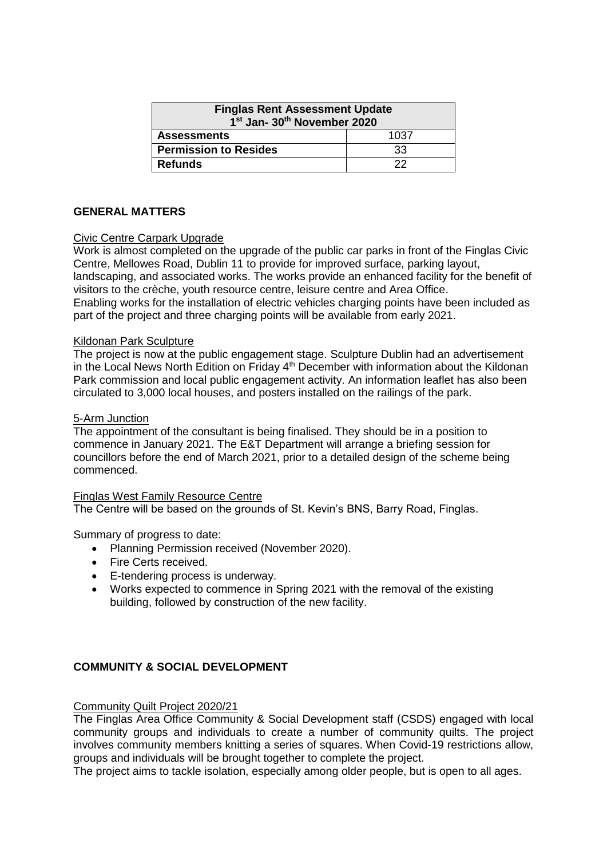| <b>Finglas Rent Assessment Update</b><br>1 <sup>st</sup> Jan- 30 <sup>th</sup> November 2020 |      |  |
|----------------------------------------------------------------------------------------------|------|--|
| <b>Assessments</b>                                                                           | 1037 |  |
| <b>Permission to Resides</b>                                                                 | 33   |  |
| <b>Refunds</b>                                                                               | つつ   |  |

# **GENERAL MATTERS**

# Civic Centre Carpark Upgrade

Work is almost completed on the upgrade of the public car parks in front of the Finglas Civic Centre, Mellowes Road, Dublin 11 to provide for improved surface, parking layout, landscaping, and associated works. The works provide an enhanced facility for the benefit of visitors to the crèche, youth resource centre, leisure centre and Area Office. Enabling works for the installation of electric vehicles charging points have been included as part of the project and three charging points will be available from early 2021.

# Kildonan Park Sculpture

The project is now at the public engagement stage. Sculpture Dublin had an advertisement in the Local News North Edition on Friday  $4<sup>th</sup>$  December with information about the Kildonan Park commission and local public engagement activity. An information leaflet has also been circulated to 3,000 local houses, and posters installed on the railings of the park.

# 5-Arm Junction

The appointment of the consultant is being finalised. They should be in a position to commence in January 2021. The E&T Department will arrange a briefing session for councillors before the end of March 2021, prior to a detailed design of the scheme being commenced.

#### Finglas West Family Resource Centre

The Centre will be based on the grounds of St. Kevin's BNS, Barry Road, Finglas.

Summary of progress to date:

- Planning Permission received (November 2020).
- Fire Certs received.
- E-tendering process is underway.
- Works expected to commence in Spring 2021 with the removal of the existing building, followed by construction of the new facility.

# **COMMUNITY & SOCIAL DEVELOPMENT**

#### Community Quilt Project 2020/21

The Finglas Area Office Community & Social Development staff (CSDS) engaged with local community groups and individuals to create a number of community quilts. The project involves community members knitting a series of squares. When Covid-19 restrictions allow, groups and individuals will be brought together to complete the project.

The project aims to tackle isolation, especially among older people, but is open to all ages.